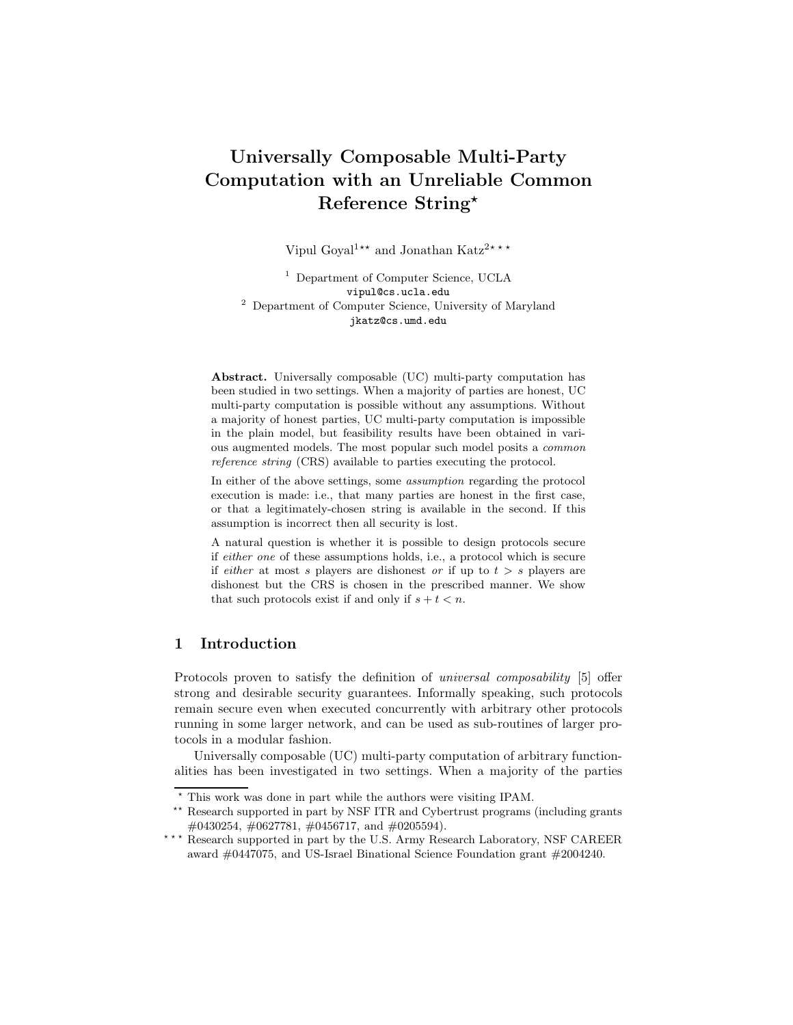# Universally Composable Multi-Party Computation with an Unreliable Common Reference String<sup>\*</sup>

Vipul Goyal<sup>1</sup><sup>★★</sup> and Jonathan Katz<sup>2★★★</sup>

<sup>1</sup> Department of Computer Science, UCLA vipul@cs.ucla.edu <sup>2</sup> Department of Computer Science, University of Maryland jkatz@cs.umd.edu

Abstract. Universally composable (UC) multi-party computation has been studied in two settings. When a majority of parties are honest, UC multi-party computation is possible without any assumptions. Without a majority of honest parties, UC multi-party computation is impossible in the plain model, but feasibility results have been obtained in various augmented models. The most popular such model posits a common reference string (CRS) available to parties executing the protocol.

In either of the above settings, some assumption regarding the protocol execution is made: i.e., that many parties are honest in the first case, or that a legitimately-chosen string is available in the second. If this assumption is incorrect then all security is lost.

A natural question is whether it is possible to design protocols secure if either one of these assumptions holds, i.e., a protocol which is secure if *either* at most s players are dishonest or if up to  $t > s$  players are dishonest but the CRS is chosen in the prescribed manner. We show that such protocols exist if and only if  $s + t < n$ .

## 1 Introduction

Protocols proven to satisfy the definition of universal composability [5] offer strong and desirable security guarantees. Informally speaking, such protocols remain secure even when executed concurrently with arbitrary other protocols running in some larger network, and can be used as sub-routines of larger protocols in a modular fashion.

Universally composable (UC) multi-party computation of arbitrary functionalities has been investigated in two settings. When a majority of the parties

<sup>⋆</sup> This work was done in part while the authors were visiting IPAM.

<sup>&</sup>lt;sup>\*\*</sup> Research supported in part by NSF ITR and Cybertrust programs (including grants #0430254, #0627781, #0456717, and #0205594).

<sup>\*\*\*</sup> Research supported in part by the U.S. Army Research Laboratory, NSF CAREER award #0447075, and US-Israel Binational Science Foundation grant #2004240.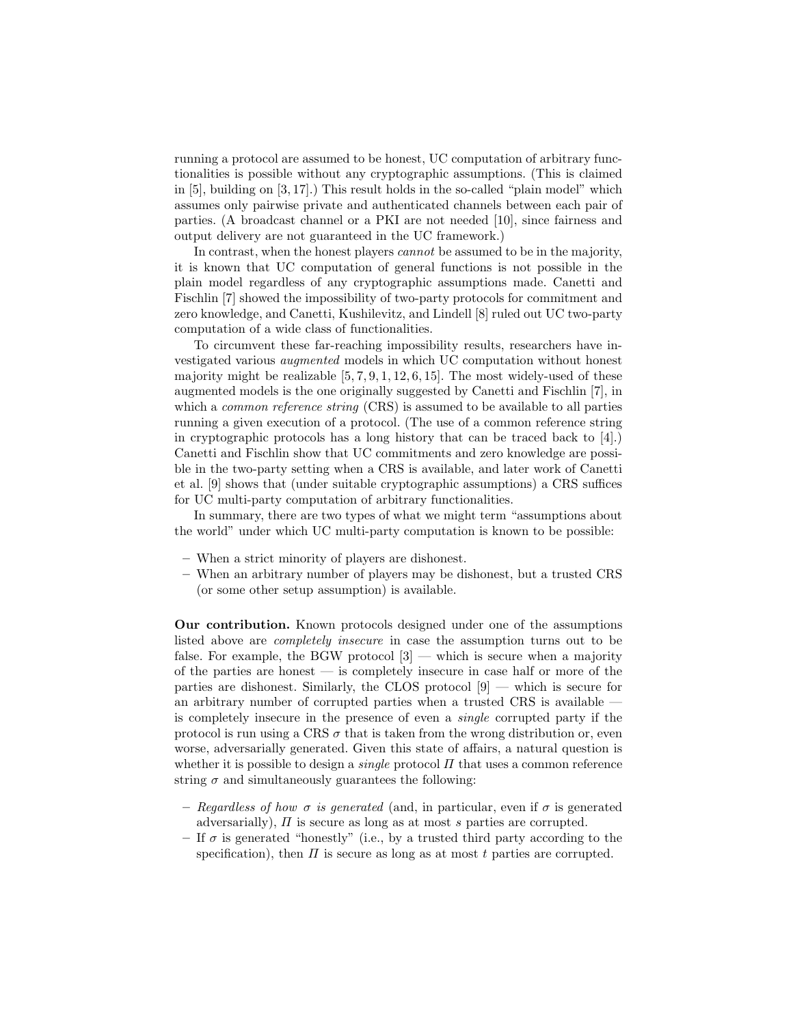running a protocol are assumed to be honest, UC computation of arbitrary functionalities is possible without any cryptographic assumptions. (This is claimed in [5], building on [3, 17].) This result holds in the so-called "plain model" which assumes only pairwise private and authenticated channels between each pair of parties. (A broadcast channel or a PKI are not needed [10], since fairness and output delivery are not guaranteed in the UC framework.)

In contrast, when the honest players *cannot* be assumed to be in the majority, it is known that UC computation of general functions is not possible in the plain model regardless of any cryptographic assumptions made. Canetti and Fischlin [7] showed the impossibility of two-party protocols for commitment and zero knowledge, and Canetti, Kushilevitz, and Lindell [8] ruled out UC two-party computation of a wide class of functionalities.

To circumvent these far-reaching impossibility results, researchers have investigated various augmented models in which UC computation without honest majority might be realizable  $[5, 7, 9, 1, 12, 6, 15]$ . The most widely-used of these augmented models is the one originally suggested by Canetti and Fischlin [7], in which a *common reference string* (CRS) is assumed to be available to all parties running a given execution of a protocol. (The use of a common reference string in cryptographic protocols has a long history that can be traced back to [4].) Canetti and Fischlin show that UC commitments and zero knowledge are possible in the two-party setting when a CRS is available, and later work of Canetti et al. [9] shows that (under suitable cryptographic assumptions) a CRS suffices for UC multi-party computation of arbitrary functionalities.

In summary, there are two types of what we might term "assumptions about the world" under which UC multi-party computation is known to be possible:

- When a strict minority of players are dishonest.
- When an arbitrary number of players may be dishonest, but a trusted CRS (or some other setup assumption) is available.

Our contribution. Known protocols designed under one of the assumptions listed above are completely insecure in case the assumption turns out to be false. For example, the BGW protocol  $[3]$  — which is secure when a majority of the parties are honest — is completely insecure in case half or more of the parties are dishonest. Similarly, the CLOS protocol  $[9]$  — which is secure for an arbitrary number of corrupted parties when a trusted CRS is available is completely insecure in the presence of even a single corrupted party if the protocol is run using a CRS  $\sigma$  that is taken from the wrong distribution or, even worse, adversarially generated. Given this state of affairs, a natural question is whether it is possible to design a *single* protocol  $\Pi$  that uses a common reference string  $\sigma$  and simultaneously guarantees the following:

- Regardless of how  $\sigma$  is generated (and, in particular, even if  $\sigma$  is generated adversarially),  $\Pi$  is secure as long as at most s parties are corrupted.
- If  $\sigma$  is generated "honestly" (i.e., by a trusted third party according to the specification), then  $\Pi$  is secure as long as at most t parties are corrupted.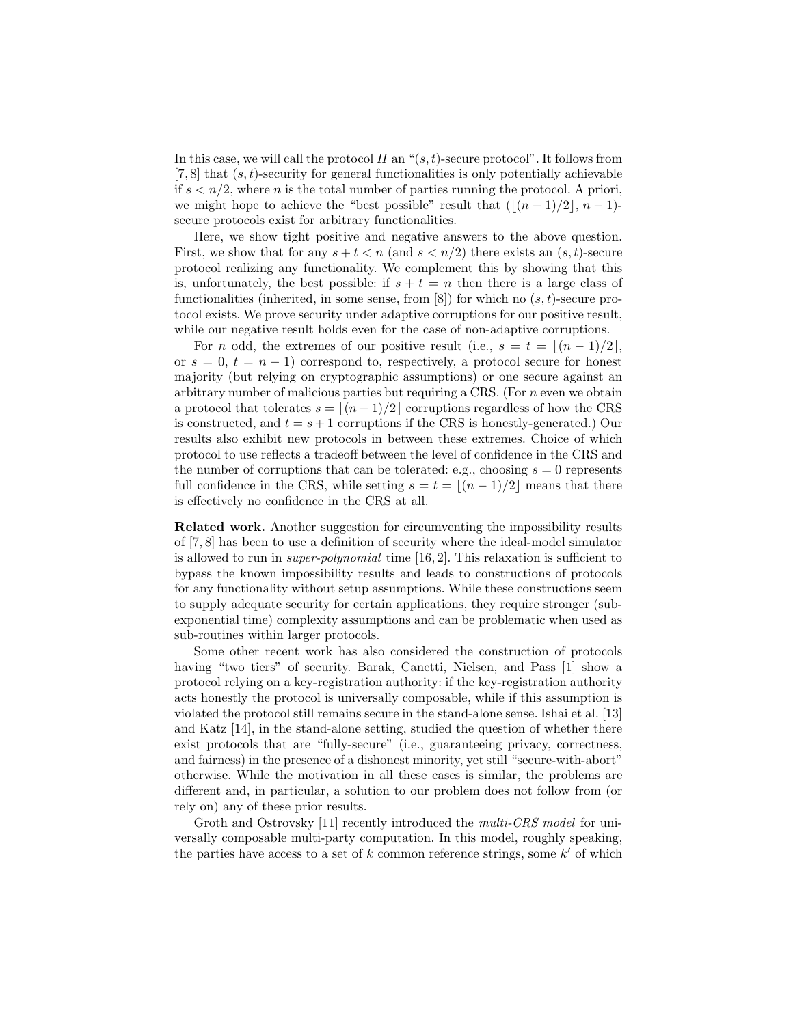In this case, we will call the protocol  $\Pi$  an " $(s, t)$ -secure protocol". It follows from  $[7, 8]$  that  $(s, t)$ -security for general functionalities is only potentially achievable if  $s < n/2$ , where *n* is the total number of parties running the protocol. A priori, we might hope to achieve the "best possible" result that  $(|(n-1)/2|, n-1)$ secure protocols exist for arbitrary functionalities.

Here, we show tight positive and negative answers to the above question. First, we show that for any  $s + t < n$  (and  $s < n/2$ ) there exists an  $(s, t)$ -secure protocol realizing any functionality. We complement this by showing that this is, unfortunately, the best possible: if  $s + t = n$  then there is a large class of functionalities (inherited, in some sense, from  $[8]$ ) for which no  $(s, t)$ -secure protocol exists. We prove security under adaptive corruptions for our positive result, while our negative result holds even for the case of non-adaptive corruptions.

For n odd, the extremes of our positive result (i.e.,  $s = t = \lfloor (n-1)/2 \rfloor$ , or  $s = 0, t = n - 1$  correspond to, respectively, a protocol secure for honest majority (but relying on cryptographic assumptions) or one secure against an arbitrary number of malicious parties but requiring a CRS. (For  $n$  even we obtain a protocol that tolerates  $s = \lfloor (n-1)/2 \rfloor$  corruptions regardless of how the CRS is constructed, and  $t = s + 1$  corruptions if the CRS is honestly-generated.) Our results also exhibit new protocols in between these extremes. Choice of which protocol to use reflects a tradeoff between the level of confidence in the CRS and the number of corruptions that can be tolerated: e.g., choosing  $s = 0$  represents full confidence in the CRS, while setting  $s = t = \lfloor (n-1)/2 \rfloor$  means that there is effectively no confidence in the CRS at all.

Related work. Another suggestion for circumventing the impossibility results of [7, 8] has been to use a definition of security where the ideal-model simulator is allowed to run in super-polynomial time [16, 2]. This relaxation is sufficient to bypass the known impossibility results and leads to constructions of protocols for any functionality without setup assumptions. While these constructions seem to supply adequate security for certain applications, they require stronger (subexponential time) complexity assumptions and can be problematic when used as sub-routines within larger protocols.

Some other recent work has also considered the construction of protocols having "two tiers" of security. Barak, Canetti, Nielsen, and Pass [1] show a protocol relying on a key-registration authority: if the key-registration authority acts honestly the protocol is universally composable, while if this assumption is violated the protocol still remains secure in the stand-alone sense. Ishai et al. [13] and Katz [14], in the stand-alone setting, studied the question of whether there exist protocols that are "fully-secure" (i.e., guaranteeing privacy, correctness, and fairness) in the presence of a dishonest minority, yet still "secure-with-abort" otherwise. While the motivation in all these cases is similar, the problems are different and, in particular, a solution to our problem does not follow from (or rely on) any of these prior results.

Groth and Ostrovsky [11] recently introduced the *multi-CRS model* for universally composable multi-party computation. In this model, roughly speaking, the parties have access to a set of k common reference strings, some  $k'$  of which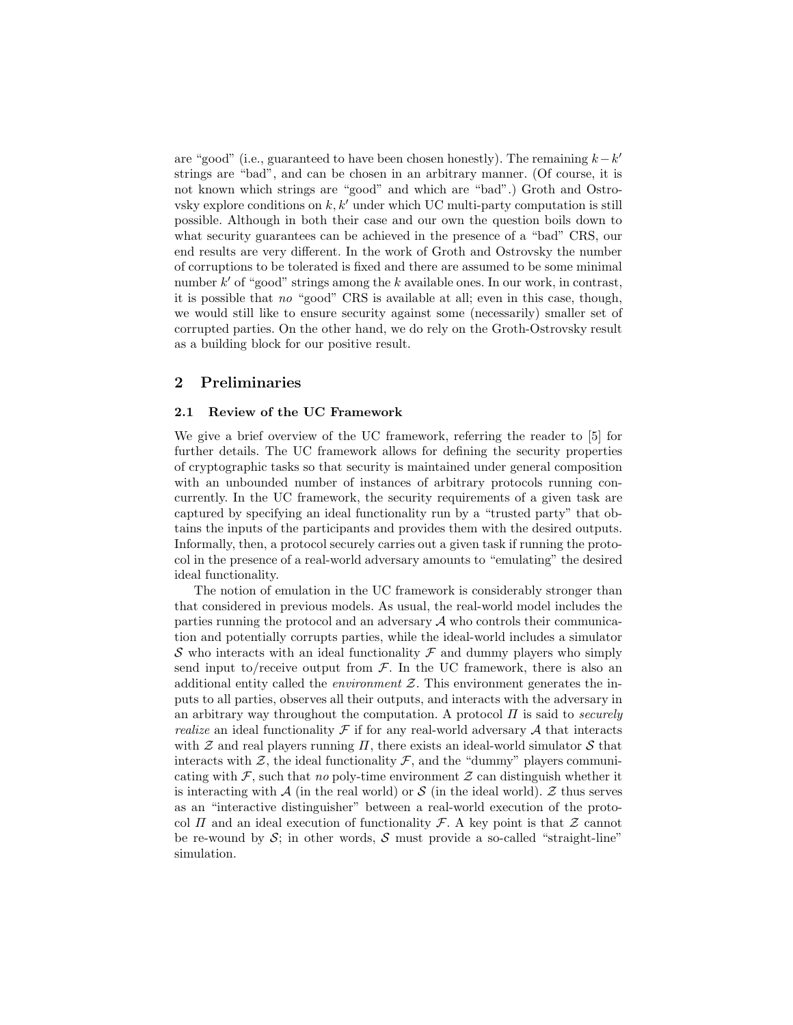are "good" (i.e., guaranteed to have been chosen honestly). The remaining  $k - k'$ strings are "bad", and can be chosen in an arbitrary manner. (Of course, it is not known which strings are "good" and which are "bad".) Groth and Ostrovsky explore conditions on  $k, k'$  under which UC multi-party computation is still possible. Although in both their case and our own the question boils down to what security guarantees can be achieved in the presence of a "bad" CRS, our end results are very different. In the work of Groth and Ostrovsky the number of corruptions to be tolerated is fixed and there are assumed to be some minimal number  $k'$  of "good" strings among the k available ones. In our work, in contrast, it is possible that no "good" CRS is available at all; even in this case, though, we would still like to ensure security against some (necessarily) smaller set of corrupted parties. On the other hand, we do rely on the Groth-Ostrovsky result as a building block for our positive result.

## 2 Preliminaries

#### 2.1 Review of the UC Framework

We give a brief overview of the UC framework, referring the reader to [5] for further details. The UC framework allows for defining the security properties of cryptographic tasks so that security is maintained under general composition with an unbounded number of instances of arbitrary protocols running concurrently. In the UC framework, the security requirements of a given task are captured by specifying an ideal functionality run by a "trusted party" that obtains the inputs of the participants and provides them with the desired outputs. Informally, then, a protocol securely carries out a given task if running the protocol in the presence of a real-world adversary amounts to "emulating" the desired ideal functionality.

The notion of emulation in the UC framework is considerably stronger than that considered in previous models. As usual, the real-world model includes the parties running the protocol and an adversary  $A$  who controls their communication and potentially corrupts parties, while the ideal-world includes a simulator S who interacts with an ideal functionality  $\mathcal F$  and dummy players who simply send input to/receive output from  $\mathcal F$ . In the UC framework, there is also an additional entity called the *environment*  $Z$ . This environment generates the inputs to all parties, observes all their outputs, and interacts with the adversary in an arbitrary way throughout the computation. A protocol  $\Pi$  is said to *securely realize* an ideal functionality  $\mathcal F$  if for any real-world adversary  $\mathcal A$  that interacts with  $Z$  and real players running  $\Pi$ , there exists an ideal-world simulator  $S$  that interacts with  $\mathcal{Z}$ , the ideal functionality  $\mathcal{F}$ , and the "dummy" players communicating with  $\mathcal F$ , such that no poly-time environment  $\mathcal Z$  can distinguish whether it is interacting with A (in the real world) or S (in the ideal world). Z thus serves as an "interactive distinguisher" between a real-world execution of the protocol  $\Pi$  and an ideal execution of functionality  $\mathcal{F}$ . A key point is that  $\mathcal Z$  cannot be re-wound by  $S$ ; in other words,  $S$  must provide a so-called "straight-line" simulation.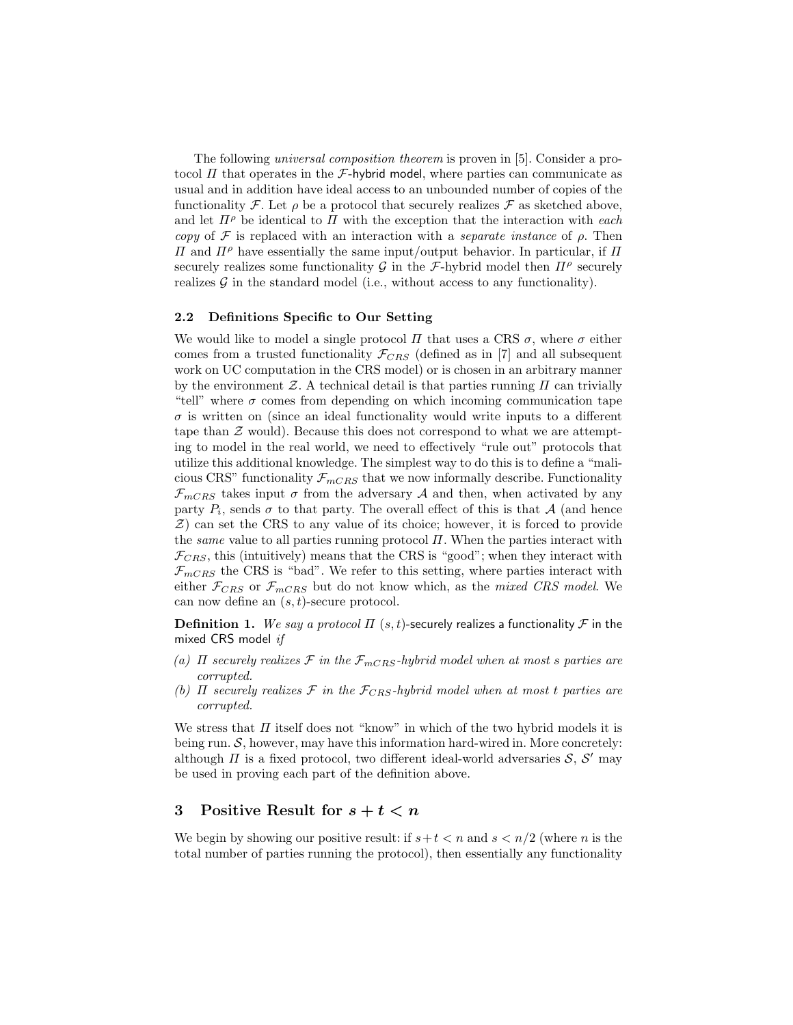The following universal composition theorem is proven in [5]. Consider a protocol  $\Pi$  that operates in the *F*-hybrid model, where parties can communicate as usual and in addition have ideal access to an unbounded number of copies of the functionality F. Let  $\rho$  be a protocol that securely realizes F as sketched above, and let  $\Pi^{\rho}$  be identical to  $\Pi$  with the exception that the interaction with each copy of  $\mathcal F$  is replaced with an interaction with a separate instance of  $\rho$ . Then  $\Pi$  and  $\Pi$ <sup>ρ</sup> have essentially the same input/output behavior. In particular, if  $\Pi$ securely realizes some functionality  $\mathcal G$  in the  $\mathcal F$ -hybrid model then  $\Pi^{\rho}$  securely realizes  $\mathcal G$  in the standard model (i.e., without access to any functionality).

#### 2.2 Definitions Specific to Our Setting

We would like to model a single protocol  $\Pi$  that uses a CRS  $\sigma$ , where  $\sigma$  either comes from a trusted functionality  $\mathcal{F}_{CRS}$  (defined as in [7] and all subsequent work on UC computation in the CRS model) or is chosen in an arbitrary manner by the environment  $\mathcal Z$ . A technical detail is that parties running  $\Pi$  can trivially "tell" where  $\sigma$  comes from depending on which incoming communication tape  $\sigma$  is written on (since an ideal functionality would write inputs to a different tape than  $\mathcal Z$  would). Because this does not correspond to what we are attempting to model in the real world, we need to effectively "rule out" protocols that utilize this additional knowledge. The simplest way to do this is to define a "malicious CRS" functionality  $\mathcal{F}_{mCRS}$  that we now informally describe. Functionality  $\mathcal{F}_{mCRS}$  takes input  $\sigma$  from the adversary A and then, when activated by any party  $P_i$ , sends  $\sigma$  to that party. The overall effect of this is that  $\mathcal A$  (and hence  $Z$ ) can set the CRS to any value of its choice; however, it is forced to provide the *same* value to all parties running protocol  $\Pi$ . When the parties interact with  $\mathcal{F}_{CRS}$ , this (intuitively) means that the CRS is "good"; when they interact with  $\mathcal{F}_{mCRS}$  the CRS is "bad". We refer to this setting, where parties interact with either  $\mathcal{F}_{CRS}$  or  $\mathcal{F}_{mCRS}$  but do not know which, as the mixed CRS model. We can now define an  $(s, t)$ -secure protocol.

**Definition 1.** We say a protocol  $\Pi$  (s, t)-securely realizes a functionality  $\mathcal F$  in the mixed CRS model if

- (a)  $\Pi$  securely realizes  $\mathcal F$  in the  $\mathcal F_{mCRS}$ -hybrid model when at most s parties are corrupted.
- (b)  $\Pi$  securely realizes  $\mathcal F$  in the  $\mathcal F_{CRS}$ -hybrid model when at most t parties are corrupted.

We stress that  $\Pi$  itself does not "know" in which of the two hybrid models it is being run.  $S$ , however, may have this information hard-wired in. More concretely: although  $\Pi$  is a fixed protocol, two different ideal-world adversaries  $S$ ,  $S'$  may be used in proving each part of the definition above.

# 3 Positive Result for  $s + t < n$

We begin by showing our positive result: if  $s+t < n$  and  $s < n/2$  (where n is the total number of parties running the protocol), then essentially any functionality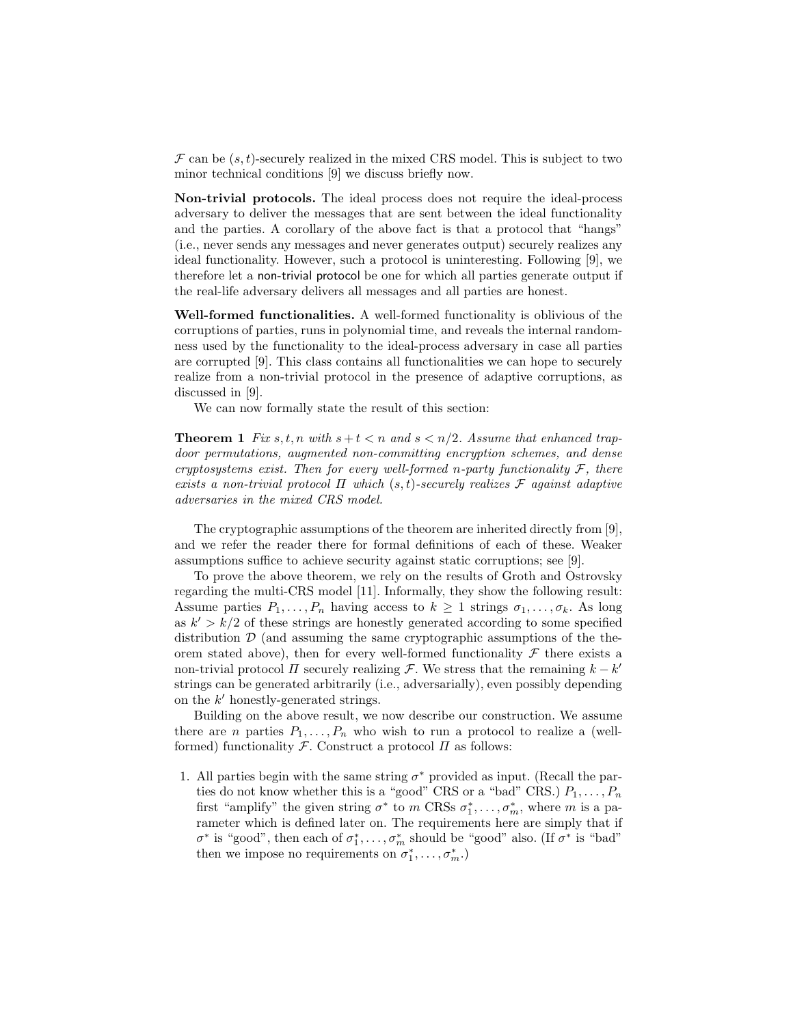$\mathcal F$  can be  $(s, t)$ -securely realized in the mixed CRS model. This is subject to two minor technical conditions [9] we discuss briefly now.

Non-trivial protocols. The ideal process does not require the ideal-process adversary to deliver the messages that are sent between the ideal functionality and the parties. A corollary of the above fact is that a protocol that "hangs" (i.e., never sends any messages and never generates output) securely realizes any ideal functionality. However, such a protocol is uninteresting. Following [9], we therefore let a non-trivial protocol be one for which all parties generate output if the real-life adversary delivers all messages and all parties are honest.

Well-formed functionalities. A well-formed functionality is oblivious of the corruptions of parties, runs in polynomial time, and reveals the internal randomness used by the functionality to the ideal-process adversary in case all parties are corrupted [9]. This class contains all functionalities we can hope to securely realize from a non-trivial protocol in the presence of adaptive corruptions, as discussed in [9].

We can now formally state the result of this section:

**Theorem 1** Fix s, t, n with  $s + t < n$  and  $s < n/2$ . Assume that enhanced trapdoor permutations, augmented non-committing encryption schemes, and dense cryptosystems exist. Then for every well-formed n-party functionality  $\mathcal{F}$ , there exists a non-trivial protocol  $\Pi$  which  $(s, t)$ -securely realizes  $\mathcal F$  against adaptive adversaries in the mixed CRS model.

The cryptographic assumptions of the theorem are inherited directly from [9], and we refer the reader there for formal definitions of each of these. Weaker assumptions suffice to achieve security against static corruptions; see [9].

To prove the above theorem, we rely on the results of Groth and Ostrovsky regarding the multi-CRS model [11]. Informally, they show the following result: Assume parties  $P_1, \ldots, P_n$  having access to  $k \geq 1$  strings  $\sigma_1, \ldots, \sigma_k$ . As long as  $k' > k/2$  of these strings are honestly generated according to some specified distribution  $\mathcal{D}$  (and assuming the same cryptographic assumptions of the theorem stated above), then for every well-formed functionality  $\mathcal F$  there exists a non-trivial protocol  $\Pi$  securely realizing  $\mathcal{F}$ . We stress that the remaining  $k - k'$ strings can be generated arbitrarily (i.e., adversarially), even possibly depending on the  $k'$  honestly-generated strings.

Building on the above result, we now describe our construction. We assume there are *n* parties  $P_1, \ldots, P_n$  who wish to run a protocol to realize a (wellformed) functionality  $\mathcal F$ . Construct a protocol  $\Pi$  as follows:

1. All parties begin with the same string  $\sigma^*$  provided as input. (Recall the parties do not know whether this is a "good" CRS or a "bad" CRS.)  $P_1, \ldots, P_n$ first "amplify" the given string  $\sigma^*$  to m CRSs  $\sigma_1^*, \ldots, \sigma_m^*$ , where m is a parameter which is defined later on. The requirements here are simply that if  $\sigma^*$  is "good", then each of  $\sigma_1^*, \ldots, \sigma_m^*$  should be "good" also. (If  $\sigma^*$  is "bad" then we impose no requirements on  $\sigma_1^*, \ldots, \sigma_m^*$ .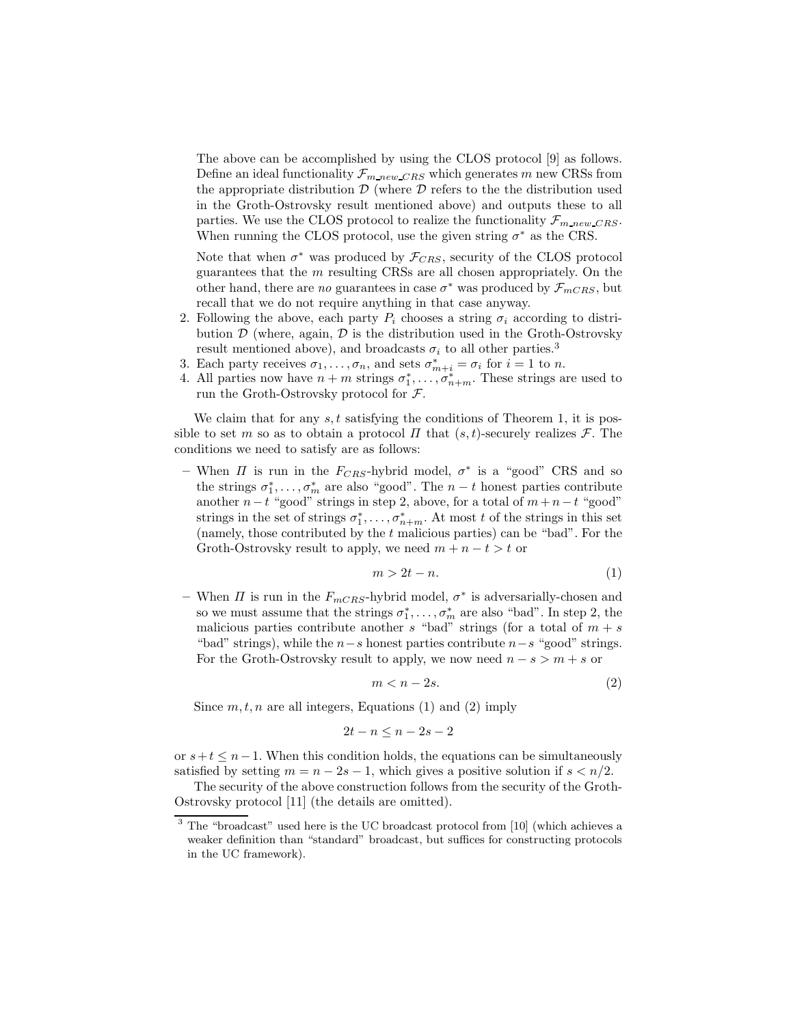The above can be accomplished by using the CLOS protocol [9] as follows. Define an ideal functionality  $\mathcal{F}_{m,new\_CRS}$  which generates m new CRSs from the appropriate distribution  $D$  (where  $D$  refers to the the distribution used in the Groth-Ostrovsky result mentioned above) and outputs these to all parties. We use the CLOS protocol to realize the functionality  $\mathcal{F}_{m\ new\ CRS}$ . When running the CLOS protocol, use the given string  $\sigma^*$  as the CRS.

Note that when  $\sigma^*$  was produced by  $\mathcal{F}_{CRS}$ , security of the CLOS protocol guarantees that the m resulting CRSs are all chosen appropriately. On the other hand, there are no guarantees in case  $\sigma^*$  was produced by  $\mathcal{F}_{mCRS}$ , but recall that we do not require anything in that case anyway.

- 2. Following the above, each party  $P_i$  chooses a string  $\sigma_i$  according to distribution  $\mathcal D$  (where, again,  $\mathcal D$  is the distribution used in the Groth-Ostrovsky result mentioned above), and broadcasts  $\sigma_i$  to all other parties.<sup>3</sup>
- 3. Each party receives  $\sigma_1, \ldots, \sigma_n$ , and sets  $\sigma_{m+i}^* = \sigma_i$  for  $i = 1$  to n.
- 4. All parties now have  $n + m$  strings  $\sigma_1^*, \ldots, \sigma_{n+m}^*$ . These strings are used to run the Groth-Ostrovsky protocol for F.

We claim that for any  $s, t$  satisfying the conditions of Theorem 1, it is possible to set m so as to obtain a protocol  $\Pi$  that  $(s,t)$ -securely realizes  $\mathcal F$ . The conditions we need to satisfy are as follows:

– When  $\Pi$  is run in the  $F_{CRS}$ -hybrid model,  $\sigma^*$  is a "good" CRS and so the strings  $\sigma_1^*, \ldots, \sigma_m^*$  are also "good". The  $n-t$  honest parties contribute another  $n-t$  "good" strings in step 2, above, for a total of  $m+n-t$  "good" strings in the set of strings  $\sigma_1^*, \ldots, \sigma_{n+m}^*$ . At most t of the strings in this set (namely, those contributed by the  $t$  malicious parties) can be "bad". For the Groth-Ostrovsky result to apply, we need  $m + n - t > t$  or

$$
m > 2t - n.\tag{1}
$$

– When  $\Pi$  is run in the  $F_{mCRS}$ -hybrid model,  $\sigma^*$  is adversarially-chosen and so we must assume that the strings  $\sigma_1^*, \ldots, \sigma_m^*$  are also "bad". In step 2, the malicious parties contribute another s "bad" strings (for a total of  $m + s$ "bad" strings), while the  $n-s$  honest parties contribute  $n-s$  "good" strings. For the Groth-Ostrovsky result to apply, we now need  $n - s > m + s$  or

$$
m < n - 2s. \tag{2}
$$

Since  $m, t, n$  are all integers, Equations (1) and (2) imply

$$
2t - n \le n - 2s - 2
$$

or  $s+t \leq n-1$ . When this condition holds, the equations can be simultaneously satisfied by setting  $m = n - 2s - 1$ , which gives a positive solution if  $s < n/2$ .

The security of the above construction follows from the security of the Groth-Ostrovsky protocol [11] (the details are omitted).

<sup>3</sup> The "broadcast" used here is the UC broadcast protocol from [10] (which achieves a weaker definition than "standard" broadcast, but suffices for constructing protocols in the UC framework).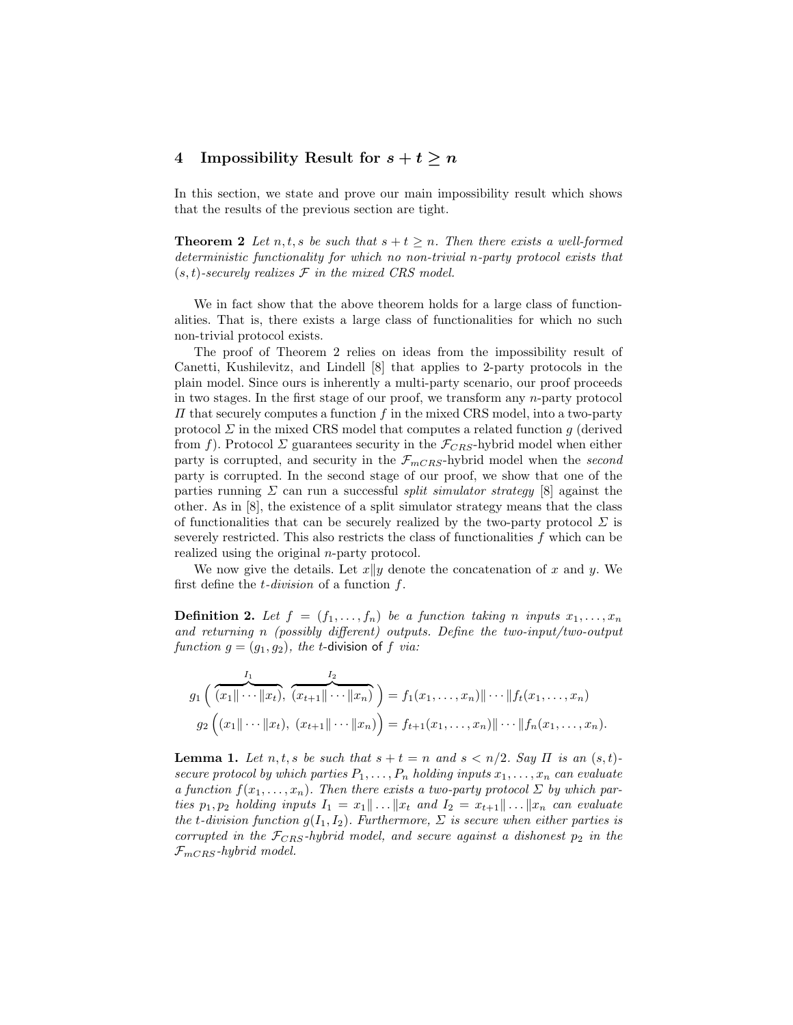## 4 Impossibility Result for  $s + t \geq n$

In this section, we state and prove our main impossibility result which shows that the results of the previous section are tight.

**Theorem 2** Let n, t, s be such that  $s + t \geq n$ . Then there exists a well-formed deterministic functionality for which no non-trivial n-party protocol exists that  $(s, t)$ -securely realizes  $\mathcal F$  in the mixed CRS model.

We in fact show that the above theorem holds for a large class of functionalities. That is, there exists a large class of functionalities for which no such non-trivial protocol exists.

The proof of Theorem 2 relies on ideas from the impossibility result of Canetti, Kushilevitz, and Lindell [8] that applies to 2-party protocols in the plain model. Since ours is inherently a multi-party scenario, our proof proceeds in two stages. In the first stage of our proof, we transform any  $n$ -party protocol  $\Pi$  that securely computes a function f in the mixed CRS model, into a two-party protocol  $\Sigma$  in the mixed CRS model that computes a related function g (derived from f). Protocol  $\Sigma$  guarantees security in the  $\mathcal{F}_{CRS}$ -hybrid model when either party is corrupted, and security in the  $\mathcal{F}_{mCRS}$ -hybrid model when the second party is corrupted. In the second stage of our proof, we show that one of the parties running  $\Sigma$  can run a successful *split simulator strategy* [8] against the other. As in [8], the existence of a split simulator strategy means that the class of functionalities that can be securely realized by the two-party protocol  $\Sigma$  is severely restricted. This also restricts the class of functionalities  $f$  which can be realized using the original n-party protocol.

We now give the details. Let  $x||y$  denote the concatenation of x and y. We first define the  $t$ -division of a function  $f$ .

**Definition 2.** Let  $f = (f_1, \ldots, f_n)$  be a function taking n inputs  $x_1, \ldots, x_n$ and returning n (possibly different) outputs. Define the two-input/two-output function  $g = (g_1, g_2)$ , the t-division of f via:

$$
g_1\left(\overbrace{(x_1\|\cdots\|x_t)}^{I_1}, \overbrace{(x_{t+1}\|\cdots\|x_n)}^{I_2}\right) = f_1(x_1,\ldots,x_n)\|\cdots\|f_t(x_1,\ldots,x_n)
$$
  

$$
g_2\left((x_1\|\cdots\|x_t), (x_{t+1}\|\cdots\|x_n)\right) = f_{t+1}(x_1,\ldots,x_n)\|\cdots\|f_n(x_1,\ldots,x_n).
$$

**Lemma 1.** Let  $n, t, s$  be such that  $s + t = n$  and  $s < n/2$ . Say  $\Pi$  is an  $(s, t)$ secure protocol by which parties  $P_1, \ldots, P_n$  holding inputs  $x_1, \ldots, x_n$  can evaluate a function  $f(x_1, \ldots, x_n)$ . Then there exists a two-party protocol  $\Sigma$  by which parties  $p_1, p_2$  holding inputs  $I_1 = x_1 \dots || x_t$  and  $I_2 = x_{t+1} \dots || x_n$  can evaluate the t-division function  $g(I_1, I_2)$ . Furthermore,  $\Sigma$  is secure when either parties is corrupted in the  $\mathcal{F}_{CRS}$ -hybrid model, and secure against a dishonest  $p_2$  in the  $\mathcal{F}_{mCRS}$ -hybrid model.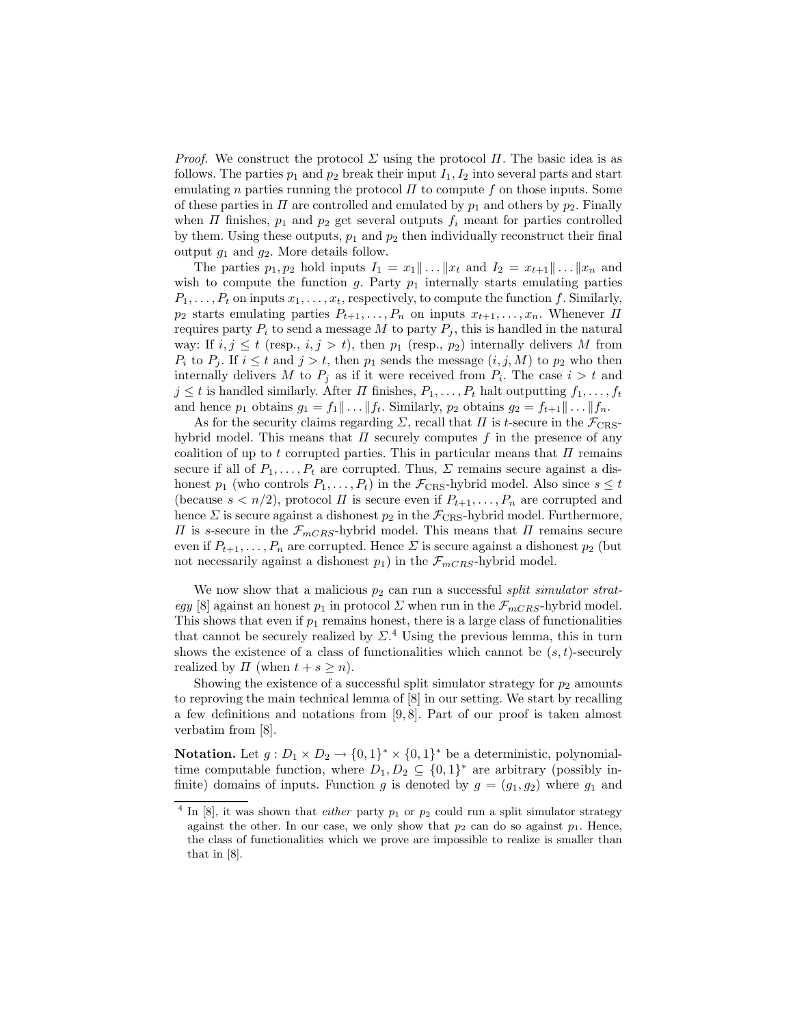*Proof.* We construct the protocol  $\Sigma$  using the protocol  $\Pi$ . The basic idea is as follows. The parties  $p_1$  and  $p_2$  break their input  $I_1, I_2$  into several parts and start emulating n parties running the protocol  $\Pi$  to compute f on those inputs. Some of these parties in  $\Pi$  are controlled and emulated by  $p_1$  and others by  $p_2$ . Finally when  $\Pi$  finishes,  $p_1$  and  $p_2$  get several outputs  $f_i$  meant for parties controlled by them. Using these outputs,  $p_1$  and  $p_2$  then individually reconstruct their final output  $g_1$  and  $g_2$ . More details follow.

The parties  $p_1, p_2$  hold inputs  $I_1 = x_1 \dots || x_t$  and  $I_2 = x_{t+1} \dots || x_n$  and wish to compute the function  $g$ . Party  $p_1$  internally starts emulating parties  $P_1, \ldots, P_t$  on inputs  $x_1, \ldots, x_t$ , respectively, to compute the function f. Similarly,  $p_2$  starts emulating parties  $P_{t+1}, \ldots, P_n$  on inputs  $x_{t+1}, \ldots, x_n$ . Whenever  $\Pi$ requires party  $P_i$  to send a message M to party  $P_i$ , this is handled in the natural way: If  $i, j \leq t$  (resp.,  $i, j > t$ ), then  $p_1$  (resp.,  $p_2$ ) internally delivers M from  $P_i$  to  $P_j$ . If  $i \leq t$  and  $j > t$ , then  $p_1$  sends the message  $(i, j, M)$  to  $p_2$  who then internally delivers M to  $P_j$  as if it were received from  $P_i$ . The case  $i > t$  and  $j \leq t$  is handled similarly. After  $\Pi$  finishes,  $P_1, \ldots, P_t$  halt outputting  $f_1, \ldots, f_t$ and hence  $p_1$  obtains  $g_1 = f_1 || \dots || f_t$ . Similarly,  $p_2$  obtains  $g_2 = f_{t+1} || \dots || f_n$ .

As for the security claims regarding  $\Sigma$ , recall that  $\Pi$  is t-secure in the  $\mathcal{F}_{CRS}$ hybrid model. This means that  $\Pi$  securely computes f in the presence of any coalition of up to t corrupted parties. This in particular means that  $\Pi$  remains secure if all of  $P_1, \ldots, P_t$  are corrupted. Thus,  $\Sigma$  remains secure against a dishonest  $p_1$  (who controls  $P_1, \ldots, P_t$ ) in the  $\mathcal{F}_{CRS}$ -hybrid model. Also since  $s \leq t$ (because  $s < n/2$ ), protocol  $\Pi$  is secure even if  $P_{t+1}, \ldots, P_n$  are corrupted and hence  $\Sigma$  is secure against a dishonest  $p_2$  in the  $\mathcal{F}_{CRS}$ -hybrid model. Furthermore,  $\Pi$  is s-secure in the  $\mathcal{F}_{mCRS}$ -hybrid model. This means that  $\Pi$  remains secure even if  $P_{t+1}, \ldots, P_n$  are corrupted. Hence  $\Sigma$  is secure against a dishonest  $p_2$  (but not necessarily against a dishonest  $p_1$ ) in the  $\mathcal{F}_{mCRS}$ -hybrid model.

We now show that a malicious  $p_2$  can run a successful split simulator strategy [8] against an honest  $p_1$  in protocol  $\Sigma$  when run in the  $\mathcal{F}_{mCRS}$ -hybrid model. This shows that even if  $p_1$  remains honest, there is a large class of functionalities that cannot be securely realized by  $\Sigma$ .<sup>4</sup> Using the previous lemma, this in turn shows the existence of a class of functionalities which cannot be  $(s, t)$ -securely realized by  $\Pi$  (when  $t + s \geq n$ ).

Showing the existence of a successful split simulator strategy for  $p_2$  amounts to reproving the main technical lemma of [8] in our setting. We start by recalling a few definitions and notations from [9, 8]. Part of our proof is taken almost verbatim from [8].

**Notation.** Let  $g: D_1 \times D_2 \to \{0,1\}^* \times \{0,1\}^*$  be a deterministic, polynomialtime computable function, where  $D_1, D_2 \subseteq \{0,1\}^*$  are arbitrary (possibly infinite) domains of inputs. Function g is denoted by  $g = (g_1, g_2)$  where  $g_1$  and

<sup>&</sup>lt;sup>4</sup> In [8], it was shown that *either* party  $p_1$  or  $p_2$  could run a split simulator strategy against the other. In our case, we only show that  $p_2$  can do so against  $p_1$ . Hence, the class of functionalities which we prove are impossible to realize is smaller than that in [8].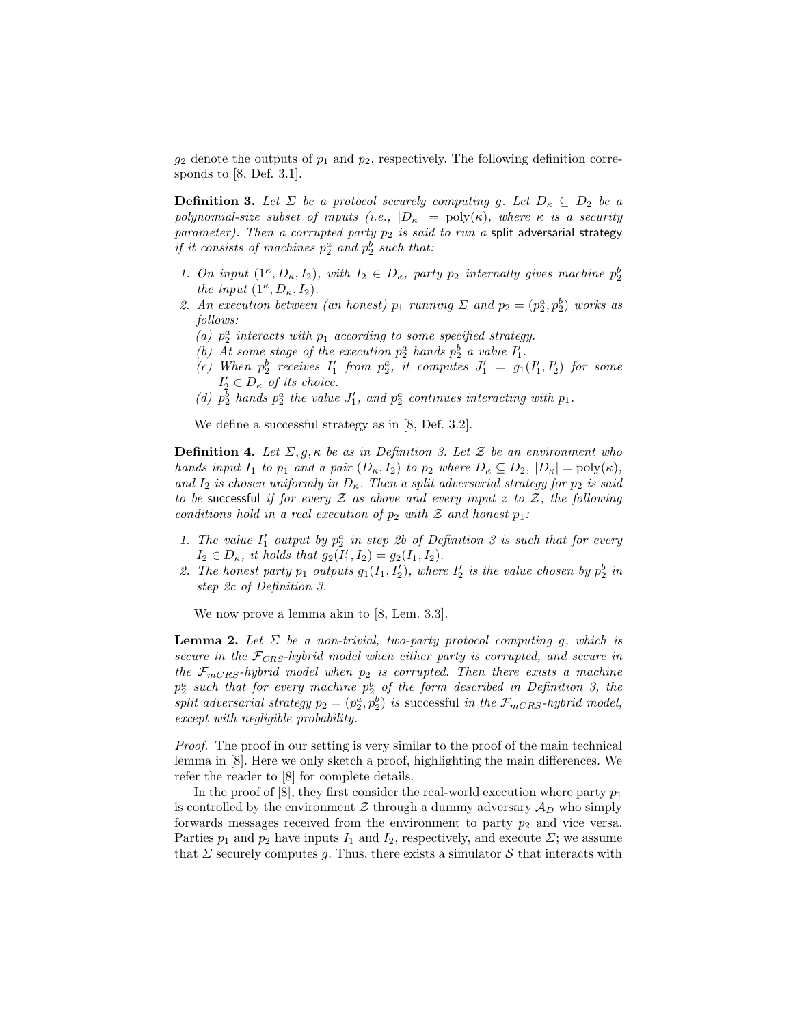$g_2$  denote the outputs of  $p_1$  and  $p_2$ , respectively. The following definition corresponds to  $[8,$  Def. 3.1.

**Definition 3.** Let  $\Sigma$  be a protocol securely computing g. Let  $D_{\kappa} \subseteq D_2$  be a polynomial-size subset of inputs (i.e.,  $|D_{\kappa}| = \text{poly}(\kappa)$ , where  $\kappa$  is a security parameter). Then a corrupted party  $p_2$  is said to run a split adversarial strategy *if it consists of machines*  $p_2^a$  *and*  $p_2^b$  *such that:* 

- 1. On input  $(1^{\kappa}, D_{\kappa}, I_2)$ , with  $I_2 \in D_{\kappa}$ , party  $p_2$  internally gives machine  $p_2^b$ the input  $(1^{\kappa}, D_{\kappa}, I_2)$ .
- 2. An execution between (an honest)  $p_1$  running  $\Sigma$  and  $p_2 = (p_2^a, p_2^b)$  works as follows:
	- (a)  $p_2^a$  interacts with  $p_1$  according to some specified strategy.
	- (b) At some stage of the execution  $p_2^a$  hands  $p_2^b$  a value  $I'_1$ .
	- (c) When  $p_2^b$  receives  $I'_1$  from  $p_2^a$ , it computes  $J'_1 = g_1(I'_1, I'_2)$  for some  $I'_2 \in D_{\kappa}$  of its choice.
	- (d)  $p_2^{\bar{b}}$  hands  $p_2^a$  the value  $J'_1$ , and  $p_2^a$  continues interacting with  $p_1$ .

We define a successful strategy as in [8, Def. 3.2].

**Definition 4.** Let  $\Sigma, g, \kappa$  be as in Definition 3. Let  $\mathcal{Z}$  be an environment who hands input  $I_1$  to  $p_1$  and a pair  $(D_\kappa, I_2)$  to  $p_2$  where  $D_\kappa \subseteq D_2$ ,  $|D_\kappa| = \text{poly}(\kappa)$ , and  $I_2$  is chosen uniformly in  $D_{\kappa}$ . Then a split adversarial strategy for  $p_2$  is said to be successful if for every  $\mathcal Z$  as above and every input  $z$  to  $\mathcal Z$ , the following conditions hold in a real execution of  $p_2$  with  $\mathcal Z$  and honest  $p_1$ :

- 1. The value  $I'_1$  output by  $p_2^a$  in step 2b of Definition 3 is such that for every  $I_2 \in D_{\kappa}$ , it holds that  $g_2(I'_1, I_2) = g_2(I_1, I_2)$ .
- 2. The honest party  $p_1$  outputs  $g_1(I_1, I'_2)$ , where  $I'_2$  is the value chosen by  $p_2^b$  in step 2c of Definition 3.

We now prove a lemma akin to [8, Lem. 3.3].

**Lemma 2.** Let  $\Sigma$  be a non-trivial, two-party protocol computing g, which is secure in the  $\mathcal{F}_{CRS}$ -hybrid model when either party is corrupted, and secure in the  $\mathcal{F}_{mCRS}$ -hybrid model when  $p_2$  is corrupted. Then there exists a machine  $p_2^a$  such that for every machine  $p_2^b$  of the form described in Definition 3, the split adversarial strategy  $p_2 = (p_2^a, p_2^b)$  is successful in the  $\mathcal{F}_{mCRS}$ -hybrid model, except with negligible probability.

Proof. The proof in our setting is very similar to the proof of the main technical lemma in [8]. Here we only sketch a proof, highlighting the main differences. We refer the reader to [8] for complete details.

In the proof of [8], they first consider the real-world execution where party  $p_1$ is controlled by the environment  $\mathcal Z$  through a dummy adversary  $\mathcal A_D$  who simply forwards messages received from the environment to party  $p_2$  and vice versa. Parties  $p_1$  and  $p_2$  have inputs  $I_1$  and  $I_2$ , respectively, and execute  $\Sigma$ ; we assume that  $\Sigma$  securely computes g. Thus, there exists a simulator  $S$  that interacts with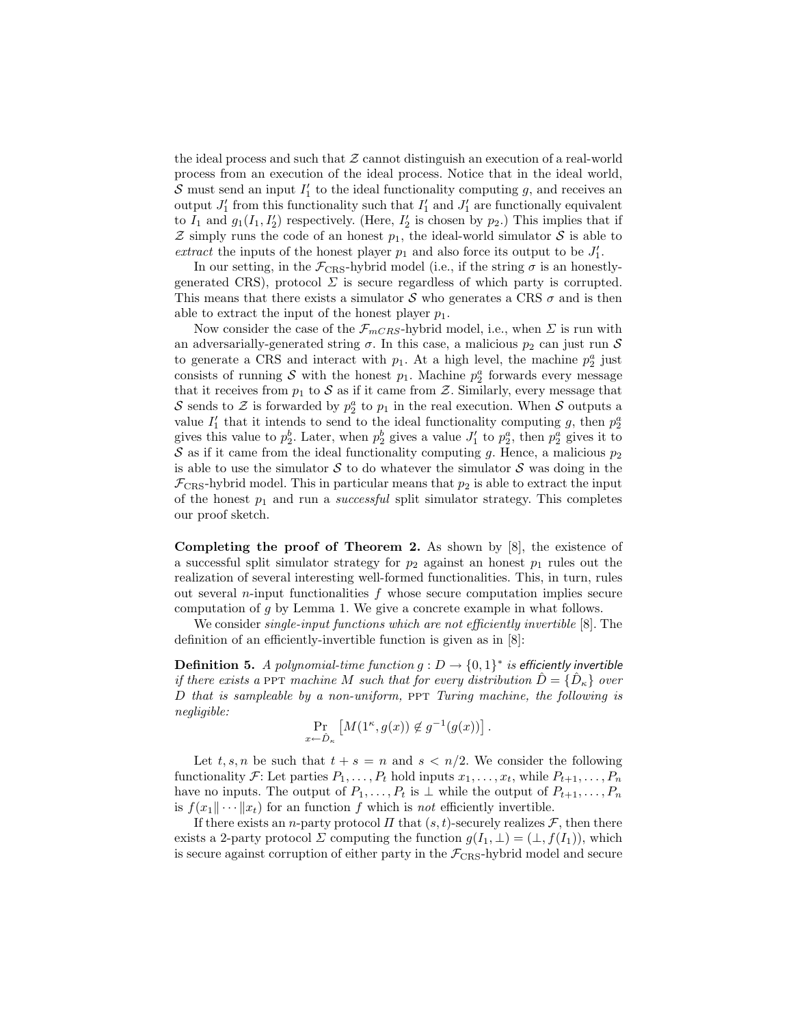the ideal process and such that  $Z$  cannot distinguish an execution of a real-world process from an execution of the ideal process. Notice that in the ideal world, S must send an input  $I'_1$  to the ideal functionality computing g, and receives an output  $J'_1$  from this functionality such that  $I'_1$  and  $J'_1$  are functionally equivalent to  $I_1$  and  $g_1(I_1, I'_2)$  respectively. (Here,  $I'_2$  is chosen by  $p_2$ .) This implies that if  $\mathcal Z$  simply runs the code of an honest  $p_1$ , the ideal-world simulator  $\mathcal S$  is able to extract the inputs of the honest player  $p_1$  and also force its output to be  $J'_1$ .

In our setting, in the  $\mathcal{F}_{CRS}$ -hybrid model (i.e., if the string  $\sigma$  is an honestlygenerated CRS), protocol  $\Sigma$  is secure regardless of which party is corrupted. This means that there exists a simulator S who generates a CRS  $\sigma$  and is then able to extract the input of the honest player  $p_1$ .

Now consider the case of the  $\mathcal{F}_{mCRS}$ -hybrid model, i.e., when  $\Sigma$  is run with an adversarially-generated string  $\sigma$ . In this case, a malicious  $p_2$  can just run S to generate a CRS and interact with  $p_1$ . At a high level, the machine  $p_2^a$  just consists of running  $S$  with the honest  $p_1$ . Machine  $p_2^a$  forwards every message that it receives from  $p_1$  to  $S$  as if it came from  $\mathcal Z$ . Similarly, every message that S sends to Z is forwarded by  $p_2^a$  to  $p_1$  in the real execution. When S outputs a value  $I'_1$  that it intends to send to the ideal functionality computing g, then  $p_2^a$ gives this value to  $p_2^b$ . Later, when  $p_2^b$  gives a value  $J'_1$  to  $p_2^a$ , then  $p_2^a$  gives it to S as if it came from the ideal functionality computing g. Hence, a malicious  $p_2$ is able to use the simulator S to do whatever the simulator S was doing in the  $\mathcal{F}_{CRS}$ -hybrid model. This in particular means that  $p_2$  is able to extract the input of the honest  $p_1$  and run a *successful* split simulator strategy. This completes our proof sketch.

Completing the proof of Theorem 2. As shown by [8], the existence of a successful split simulator strategy for  $p_2$  against an honest  $p_1$  rules out the realization of several interesting well-formed functionalities. This, in turn, rules out several *n*-input functionalities  $f$  whose secure computation implies secure computation of  $q$  by Lemma 1. We give a concrete example in what follows.

We consider *single-input functions which are not efficiently invertible* [8]. The definition of an efficiently-invertible function is given as in [8]:

**Definition 5.** A polynomial-time function  $g: D \to \{0,1\}^*$  is efficiently invertible if there exists a PPT machine M such that for every distribution  $\hat{D} = \{\hat{D}_{\kappa}\}\$ over  $D$  that is sampleable by a non-uniform, PPT Turing machine, the following is negligible:

$$
\Pr_{x \leftarrow \hat{D}_{\kappa}} \left[ M(1^{\kappa}, g(x)) \notin g^{-1}(g(x)) \right].
$$

Let t, s, n be such that  $t + s = n$  and  $s < n/2$ . We consider the following functionality F: Let parties  $P_1, \ldots, P_t$  hold inputs  $x_1, \ldots, x_t$ , while  $P_{t+1}, \ldots, P_n$ have no inputs. The output of  $P_1, \ldots, P_t$  is  $\perp$  while the output of  $P_{t+1}, \ldots, P_n$ is  $f(x_1 \|\cdots \| x_t)$  for an function f which is not efficiently invertible.

If there exists an *n*-party protocol  $\Pi$  that  $(s, t)$ -securely realizes  $\mathcal{F}$ , then there exists a 2-party protocol  $\Sigma$  computing the function  $g(I_1, \bot) = (\bot, f(I_1)),$  which is secure against corruption of either party in the  $\mathcal{F}_{CRS}$ -hybrid model and secure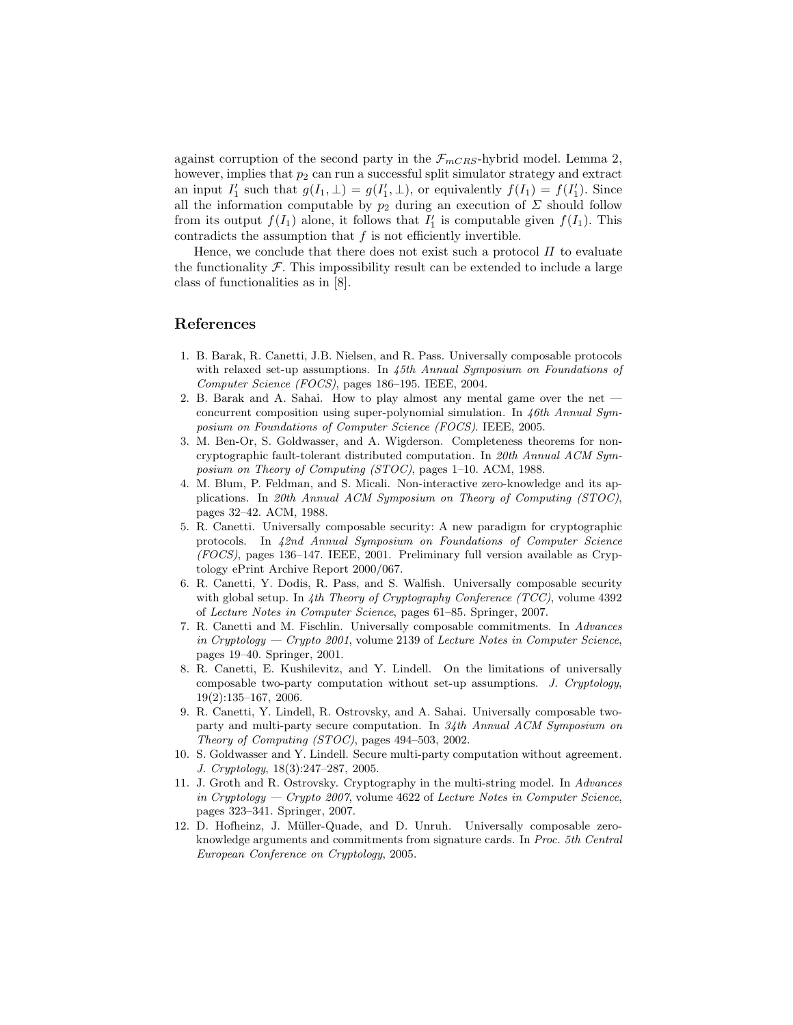against corruption of the second party in the  $\mathcal{F}_{mCRS}$ -hybrid model. Lemma 2, however, implies that  $p_2$  can run a successful split simulator strategy and extract an input  $I'_1$  such that  $g(I_1, \perp) = g(I'_1, \perp)$ , or equivalently  $f(I_1) = f(I'_1)$ . Since all the information computable by  $p_2$  during an execution of  $\Sigma$  should follow from its output  $f(I_1)$  alone, it follows that  $I'_1$  is computable given  $f(I_1)$ . This contradicts the assumption that  $f$  is not efficiently invertible.

Hence, we conclude that there does not exist such a protocol  $\Pi$  to evaluate the functionality  $\mathcal F$ . This impossibility result can be extended to include a large class of functionalities as in [8].

#### References

- 1. B. Barak, R. Canetti, J.B. Nielsen, and R. Pass. Universally composable protocols with relaxed set-up assumptions. In 45th Annual Symposium on Foundations of Computer Science (FOCS), pages 186–195. IEEE, 2004.
- 2. B. Barak and A. Sahai. How to play almost any mental game over the net concurrent composition using super-polynomial simulation. In 46th Annual Symposium on Foundations of Computer Science (FOCS). IEEE, 2005.
- 3. M. Ben-Or, S. Goldwasser, and A. Wigderson. Completeness theorems for noncryptographic fault-tolerant distributed computation. In 20th Annual ACM Symposium on Theory of Computing (STOC), pages 1–10. ACM, 1988.
- 4. M. Blum, P. Feldman, and S. Micali. Non-interactive zero-knowledge and its applications. In 20th Annual ACM Symposium on Theory of Computing (STOC), pages 32–42. ACM, 1988.
- 5. R. Canetti. Universally composable security: A new paradigm for cryptographic protocols. In 42nd Annual Symposium on Foundations of Computer Science (FOCS), pages 136–147. IEEE, 2001. Preliminary full version available as Cryptology ePrint Archive Report 2000/067.
- 6. R. Canetti, Y. Dodis, R. Pass, and S. Walfish. Universally composable security with global setup. In  $4th$  Theory of Cryptography Conference (TCC), volume 4392 of Lecture Notes in Computer Science, pages 61–85. Springer, 2007.
- 7. R. Canetti and M. Fischlin. Universally composable commitments. In Advances in Cryptology  $-$  Crypto 2001, volume 2139 of Lecture Notes in Computer Science, pages 19–40. Springer, 2001.
- 8. R. Canetti, E. Kushilevitz, and Y. Lindell. On the limitations of universally composable two-party computation without set-up assumptions. J. Cryptology, 19(2):135–167, 2006.
- 9. R. Canetti, Y. Lindell, R. Ostrovsky, and A. Sahai. Universally composable twoparty and multi-party secure computation. In 34th Annual ACM Symposium on Theory of Computing (STOC), pages 494–503, 2002.
- 10. S. Goldwasser and Y. Lindell. Secure multi-party computation without agreement. J. Cryptology, 18(3):247–287, 2005.
- 11. J. Groth and R. Ostrovsky. Cryptography in the multi-string model. In Advances in Cryptology — Crypto 2007, volume  $4622$  of Lecture Notes in Computer Science, pages 323–341. Springer, 2007.
- 12. D. Hofheinz, J. Müller-Quade, and D. Unruh. Universally composable zeroknowledge arguments and commitments from signature cards. In Proc. 5th Central European Conference on Cryptology, 2005.